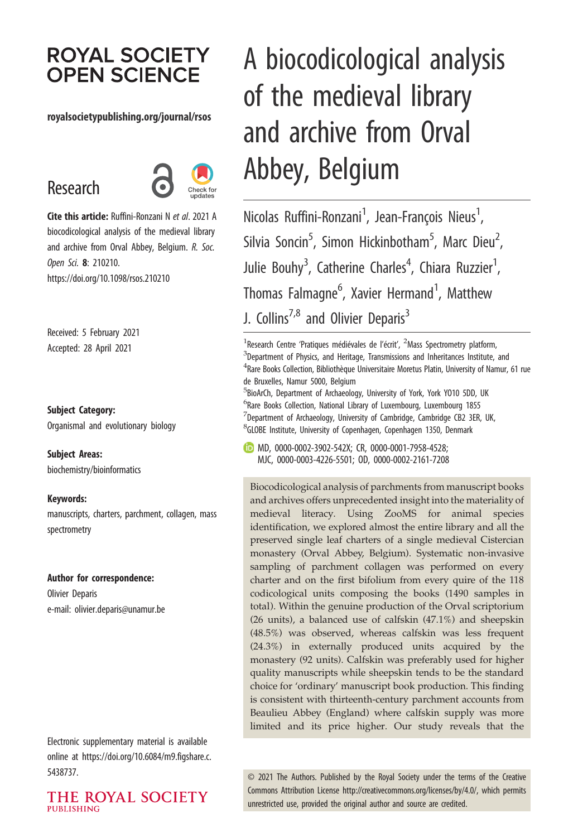# **ROYAL SOCIETY OPEN SCIENCE**

#### royalsocietypublishing.org/journal/rsos

# Research



Cite this article: Ruffini-Ronzani N et al. 2021 A biocodicological analysis of the medieval library and archive from Orval Abbey, Belgium. R. Soc. Open Sci. 8: 210210. https://doi.org/10.1098/rsos.210210

Received: 5 February 2021 Accepted: 28 April 2021

Subject Category:

Organismal and evolutionary biology

Subject Areas: biochemistry/bioinformatics

#### Keywords:

manuscripts, charters, parchment, collagen, mass spectrometry

#### Author for correspondence:

Olivier Deparis e-mail: [olivier.deparis@unamur.be](mailto:olivier.deparis@unamur.be)

Electronic supplementary material is available online at [https://doi.org/10.6084/m9.figshare.c.](https://doi.org/10.6084/m9.figshare.c.5438737) [5438737.](https://doi.org/10.6084/m9.figshare.c.5438737)

THE ROYAL SOCIETY PURLISHING

# A biocodicological analysis of the medieval library and archive from Orval Abbey, Belgium

Nicolas Ruffini-Ronzani<sup>1</sup>, Jean-François Nieus<sup>1</sup> , Silvia Soncin<sup>5</sup>, Simon Hickinbotham<sup>5</sup>, Marc Dieu<sup>2</sup> , Julie Bouhy<sup>3</sup>, Catherine Charles<sup>4</sup>, Chiara Ruzzier<sup>1</sup> , Thomas Falmagne<sup>6</sup>, Xavier Hermand<sup>1</sup>, Matthew J. Collins<sup>7,8</sup> and Olivier Deparis<sup>3</sup>

<sup>1</sup> Research Centre 'Pratiques médiévales de l'écrit', <sup>2</sup> Mass Spectrometry platform, <sup>3</sup>Department of Physics, and Heritage, Transmissions and Inheritances Institute, and <sup>4</sup>Rare Books Collection, Bibliothèque Universitaire Moretus Platin, University of Namur, 61 rue de Bruxelles, Namur 5000, Belgium

<sup>5</sup>BioArCh, Department of Archaeology, University of York, York Y010 5DD, UK 6 Rare Books Collection, National Library of Luxembourg, Luxembourg 1855  $^7$ Department of Archaeology, University of Cambridge, Cambridge CB2 3ER, UK, 8 GLOBE Institute, University of Copenhagen, Copenhagen 1350, Denmark

MD, [0000-0002-3902-542X;](http://orcid.org/0000-0002-3902-542X) CR, [0000-0001-7958-4528;](http://orcid.org/0000-0001-7958-4528) MJC, [0000-0003-4226-5501](http://orcid.org/0000-0003-4226-5501); OD, [0000-0002-2161-7208](http://orcid.org/0000-0002-2161-7208)

Biocodicological analysis of parchments from manuscript books and archives offers unprecedented insight into the materiality of medieval literacy. Using ZooMS for animal species identification, we explored almost the entire library and all the preserved single leaf charters of a single medieval Cistercian monastery (Orval Abbey, Belgium). Systematic non-invasive sampling of parchment collagen was performed on every charter and on the first bifolium from every quire of the 118 codicological units composing the books (1490 samples in total). Within the genuine production of the Orval scriptorium (26 units), a balanced use of calfskin (47.1%) and sheepskin (48.5%) was observed, whereas calfskin was less frequent (24.3%) in externally produced units acquired by the monastery (92 units). Calfskin was preferably used for higher quality manuscripts while sheepskin tends to be the standard choice for 'ordinary' manuscript book production. This finding is consistent with thirteenth-century parchment accounts from Beaulieu Abbey (England) where calfskin supply was more limited and its price higher. Our study reveals that the

© 2021 The Authors. Published by the Royal Society under the terms of the Creative Commons Attribution License<http://creativecommons.org/licenses/by/4.0/>, which permits unrestricted use, provided the original author and source are credited.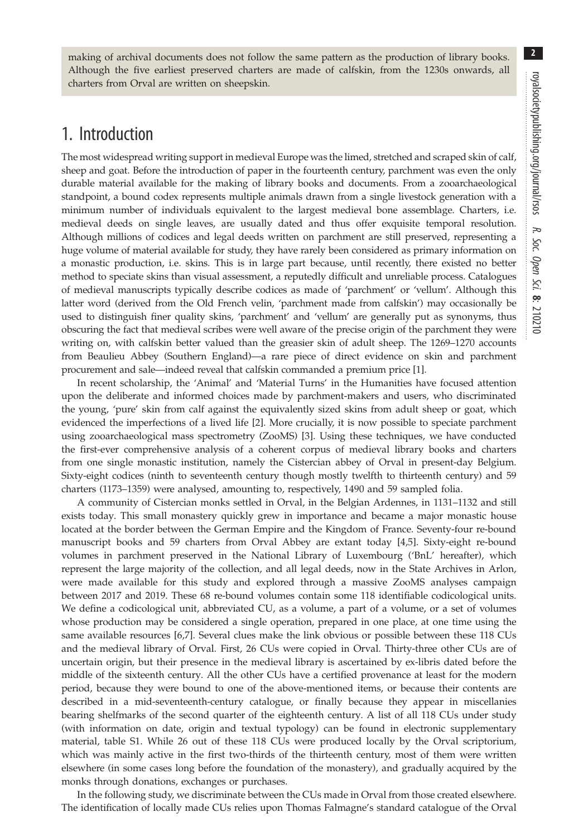making of archival documents does not follow the same pattern as the production of library books. Although the five earliest preserved charters are made of calfskin, from the 1230s onwards, all charters from Orval are written on sheepskin.

## 1. Introduction

The most widespread writing support in medieval Europe was the limed, stretched and scraped skin of calf, sheep and goat. Before the introduction of paper in the fourteenth century, parchment was even the only durable material available for the making of library books and documents. From a zooarchaeological standpoint, a bound codex represents multiple animals drawn from a single livestock generation with a minimum number of individuals equivalent to the largest medieval bone assemblage. Charters, i.e. medieval deeds on single leaves, are usually dated and thus offer exquisite temporal resolution. Although millions of codices and legal deeds written on parchment are still preserved, representing a huge volume of material available for study, they have rarely been considered as primary information on a monastic production, i.e. skins. This is in large part because, until recently, there existed no better method to speciate skins than visual assessment, a reputedly difficult and unreliable process. Catalogues of medieval manuscripts typically describe codices as made of 'parchment' or 'vellum'. Although this latter word (derived from the Old French velin, 'parchment made from calfskin') may occasionally be used to distinguish finer quality skins, 'parchment' and 'vellum' are generally put as synonyms, thus obscuring the fact that medieval scribes were well aware of the precise origin of the parchment they were writing on, with calfskin better valued than the greasier skin of adult sheep. The 1269–1270 accounts from Beaulieu Abbey (Southern England)—a rare piece of direct evidence on skin and parchment procurement and sale—indeed reveal that calfskin commanded a premium price [[1](#page-12-0)].

In recent scholarship, the 'Animal' and 'Material Turns' in the Humanities have focused attention upon the deliberate and informed choices made by parchment-makers and users, who discriminated the young, 'pure' skin from calf against the equivalently sized skins from adult sheep or goat, which evidenced the imperfections of a lived life [[2](#page-12-0)]. More crucially, it is now possible to speciate parchment using zooarchaeological mass spectrometry (ZooMS) [\[3\]](#page-12-0). Using these techniques, we have conducted the first-ever comprehensive analysis of a coherent corpus of medieval library books and charters from one single monastic institution, namely the Cistercian abbey of Orval in present-day Belgium. Sixty-eight codices (ninth to seventeenth century though mostly twelfth to thirteenth century) and 59 charters (1173–1359) were analysed, amounting to, respectively, 1490 and 59 sampled folia.

A community of Cistercian monks settled in Orval, in the Belgian Ardennes, in 1131–1132 and still exists today. This small monastery quickly grew in importance and became a major monastic house located at the border between the German Empire and the Kingdom of France. Seventy-four re-bound manuscript books and 59 charters from Orval Abbey are extant today [[4](#page-12-0),[5](#page-12-0)]. Sixty-eight re-bound volumes in parchment preserved in the National Library of Luxembourg ('BnL' hereafter), which represent the large majority of the collection, and all legal deeds, now in the State Archives in Arlon, were made available for this study and explored through a massive ZooMS analyses campaign between 2017 and 2019. These 68 re-bound volumes contain some 118 identifiable codicological units. We define a codicological unit, abbreviated CU, as a volume, a part of a volume, or a set of volumes whose production may be considered a single operation, prepared in one place, at one time using the same available resources [\[6,7](#page-12-0)]. Several clues make the link obvious or possible between these 118 CUs and the medieval library of Orval. First, 26 CUs were copied in Orval. Thirty-three other CUs are of uncertain origin, but their presence in the medieval library is ascertained by ex-libris dated before the middle of the sixteenth century. All the other CUs have a certified provenance at least for the modern period, because they were bound to one of the above-mentioned items, or because their contents are described in a mid-seventeenth-century catalogue, or finally because they appear in miscellanies bearing shelfmarks of the second quarter of the eighteenth century. A list of all 118 CUs under study (with information on date, origin and textual typology) can be found in electronic supplementary material, table S1. While 26 out of these 118 CUs were produced locally by the Orval scriptorium, which was mainly active in the first two-thirds of the thirteenth century, most of them were written elsewhere (in some cases long before the foundation of the monastery), and gradually acquired by the monks through donations, exchanges or purchases.

In the following study, we discriminate between the CUs made in Orval from those created elsewhere. The identification of locally made CUs relies upon Thomas Falmagne's standard catalogue of the Orval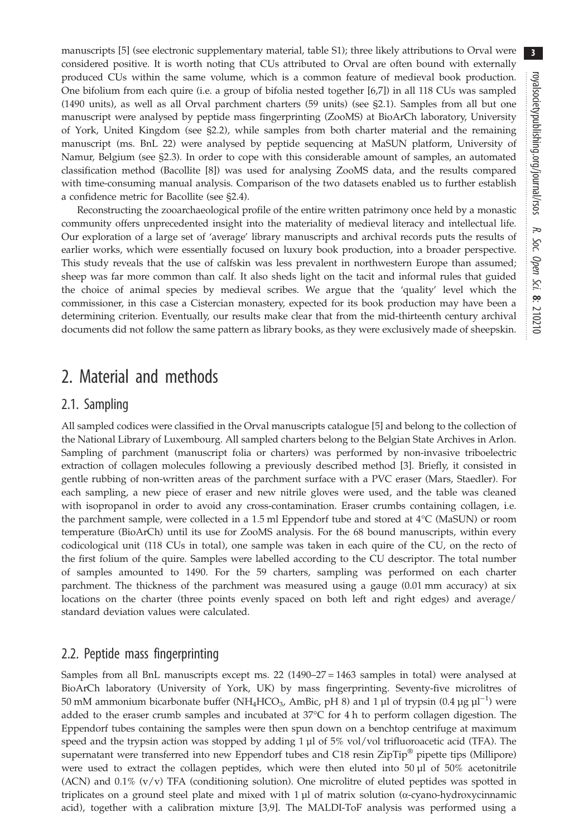manuscripts [[5](#page-12-0)] (see electronic supplementary material, table S1); three likely attributions to Orval were considered positive. It is worth noting that CUs attributed to Orval are often bound with externally produced CUs within the same volume, which is a common feature of medieval book production. One bifolium from each quire (i.e. a group of bifolia nested together [[6](#page-12-0),[7](#page-12-0)]) in all 118 CUs was sampled (1490 units), as well as all Orval parchment charters (59 units) (see §2.1). Samples from all but one manuscript were analysed by peptide mass fingerprinting (ZooMS) at BioArCh laboratory, University of York, United Kingdom (see §2.2), while samples from both charter material and the remaining manuscript (ms. BnL 22) were analysed by peptide sequencing at MaSUN platform, University of Namur, Belgium (see §2.3). In order to cope with this considerable amount of samples, an automated classification method (Bacollite [\[8\]](#page-13-0)) was used for analysing ZooMS data, and the results compared with time-consuming manual analysis. Comparison of the two datasets enabled us to further establish a confidence metric for Bacollite (see §2.4).

Reconstructing the zooarchaeological profile of the entire written patrimony once held by a monastic community offers unprecedented insight into the materiality of medieval literacy and intellectual life. Our exploration of a large set of 'average' library manuscripts and archival records puts the results of earlier works, which were essentially focused on luxury book production, into a broader perspective. This study reveals that the use of calfskin was less prevalent in northwestern Europe than assumed; sheep was far more common than calf. It also sheds light on the tacit and informal rules that guided the choice of animal species by medieval scribes. We argue that the 'quality' level which the commissioner, in this case a Cistercian monastery, expected for its book production may have been a determining criterion. Eventually, our results make clear that from the mid-thirteenth century archival documents did not follow the same pattern as library books, as they were exclusively made of sheepskin.

## 2. Material and methods

#### 2.1. Sampling

All sampled codices were classified in the Orval manuscripts catalogue [[5](#page-12-0)] and belong to the collection of the National Library of Luxembourg. All sampled charters belong to the Belgian State Archives in Arlon. Sampling of parchment (manuscript folia or charters) was performed by non-invasive triboelectric extraction of collagen molecules following a previously described method [\[3\]](#page-12-0). Briefly, it consisted in gentle rubbing of non-written areas of the parchment surface with a PVC eraser (Mars, Staedler). For each sampling, a new piece of eraser and new nitrile gloves were used, and the table was cleaned with isopropanol in order to avoid any cross-contamination. Eraser crumbs containing collagen, i.e. the parchment sample, were collected in a 1.5 ml Eppendorf tube and stored at 4°C (MaSUN) or room temperature (BioArCh) until its use for ZooMS analysis. For the 68 bound manuscripts, within every codicological unit (118 CUs in total), one sample was taken in each quire of the CU, on the recto of the first folium of the quire. Samples were labelled according to the CU descriptor. The total number of samples amounted to 1490. For the 59 charters, sampling was performed on each charter parchment. The thickness of the parchment was measured using a gauge (0.01 mm accuracy) at six locations on the charter (three points evenly spaced on both left and right edges) and average/ standard deviation values were calculated.

#### 2.2. Peptide mass fingerprinting

Samples from all BnL manuscripts except ms. 22 (1490–27 = 1463 samples in total) were analysed at BioArCh laboratory (University of York, UK) by mass fingerprinting. Seventy-five microlitres of 50 mM ammonium bicarbonate buffer (NH<sub>4</sub>HCO<sub>3</sub>, AmBic, pH 8) and 1 µl of trypsin (0.4 µg µl<sup>-1</sup>) were added to the eraser crumb samples and incubated at 37°C for 4 h to perform collagen digestion. The Eppendorf tubes containing the samples were then spun down on a benchtop centrifuge at maximum speed and the trypsin action was stopped by adding 1 µl of 5% vol/vol trifluoroacetic acid (TFA). The supernatant were transferred into new Eppendorf tubes and C18 resin ZipTip<sup>®</sup> pipette tips (Millipore) were used to extract the collagen peptides, which were then eluted into 50 µl of 50% acetonitrile (ACN) and 0.1% (v/v) TFA (conditioning solution). One microlitre of eluted peptides was spotted in triplicates on a ground steel plate and mixed with 1 µl of matrix solution (α-cyano-hydroxycinnamic acid), together with a calibration mixture [[3](#page-12-0),[9](#page-13-0)]. The MALDI-ToF analysis was performed using a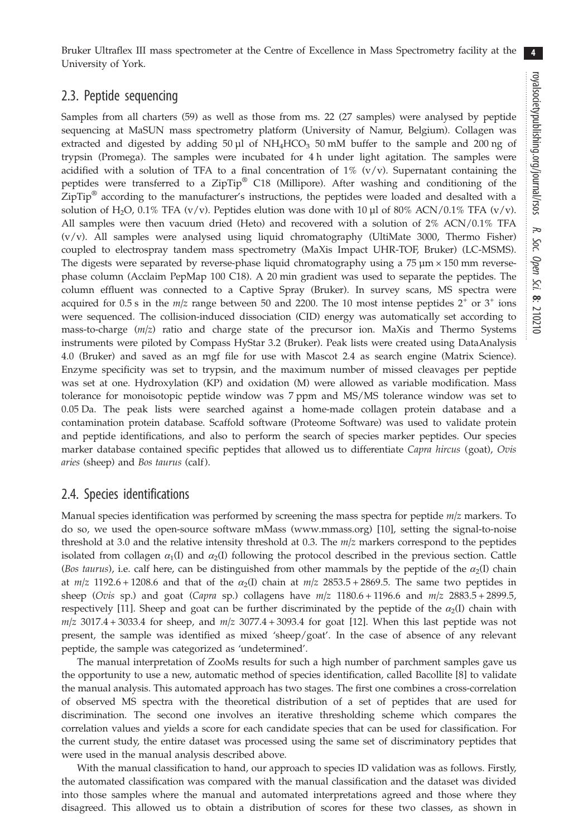4

Bruker Ultraflex III mass spectrometer at the Centre of Excellence in Mass Spectrometry facility at the University of York.

#### 2.3. Peptide sequencing

Samples from all charters (59) as well as those from ms. 22 (27 samples) were analysed by peptide sequencing at MaSUN mass spectrometry platform (University of Namur, Belgium). Collagen was extracted and digested by adding  $50 \mu$ l of NH<sub>4</sub>HCO<sub>3</sub> 50 mM buffer to the sample and 200 ng of trypsin (Promega). The samples were incubated for 4 h under light agitation. The samples were acidified with a solution of TFA to a final concentration of  $1\%$  (v/v). Supernatant containing the peptides were transferred to a ZipTip® C18 (Millipore). After washing and conditioning of the  $\text{ZipTip}^{\circledast}$  according to the manufacturer's instructions, the peptides were loaded and desalted with a solution of H<sub>2</sub>O, 0.1% TFA (v/v). Peptides elution was done with 10  $\mu$ l of 80% ACN/0.1% TFA (v/v). All samples were then vacuum dried (Heto) and recovered with a solution of 2% ACN/0.1% TFA  $(v/v)$ . All samples were analysed using liquid chromatography (UltiMate 3000, Thermo Fisher) coupled to electrospray tandem mass spectrometry (MaXis Impact UHR-TOF, Bruker) (LC-MSMS). The digests were separated by reverse-phase liquid chromatography using a  $75 \mu m \times 150 \text{ mm}$  reversephase column (Acclaim PepMap 100 C18). A 20 min gradient was used to separate the peptides. The column effluent was connected to a Captive Spray (Bruker). In survey scans, MS spectra were acquired for 0.5 s in the  $m/z$  range between 50 and 2200. The 10 most intense peptides  $2^+$  or  $3^+$  ions were sequenced. The collision-induced dissociation (CID) energy was automatically set according to mass-to-charge (m/z) ratio and charge state of the precursor ion. MaXis and Thermo Systems instruments were piloted by Compass HyStar 3.2 (Bruker). Peak lists were created using DataAnalysis 4.0 (Bruker) and saved as an mgf file for use with Mascot 2.4 as search engine (Matrix Science). Enzyme specificity was set to trypsin, and the maximum number of missed cleavages per peptide was set at one. Hydroxylation (KP) and oxidation (M) were allowed as variable modification. Mass tolerance for monoisotopic peptide window was 7 ppm and MS/MS tolerance window was set to 0.05 Da. The peak lists were searched against a home-made collagen protein database and a contamination protein database. Scaffold software (Proteome Software) was used to validate protein and peptide identifications, and also to perform the search of species marker peptides. Our species marker database contained specific peptides that allowed us to differentiate Capra hircus (goat), Ovis aries (sheep) and Bos taurus (calf).

#### 2.4. Species identifications

Manual species identification was performed by screening the mass spectra for peptide  $m/z$  markers. To do so, we used the open-source software mMass ([www.mmass.org](http://www.mmass.org)) [[10\]](#page-13-0), setting the signal-to-noise threshold at 3.0 and the relative intensity threshold at 0.3. The  $m/z$  markers correspond to the peptides isolated from collagen  $\alpha_1(I)$  and  $\alpha_2(I)$  following the protocol described in the previous section. Cattle (Bos taurus), i.e. calf here, can be distinguished from other mammals by the peptide of the  $\alpha_2(I)$  chain at  $m/z$  1192.6 + 1208.6 and that of the  $\alpha_2(I)$  chain at  $m/z$  2853.5 + 2869.5. The same two peptides in sheep (Ovis sp.) and goat (Capra sp.) collagens have  $m/z$  1180.6 + 1196.6 and  $m/z$  2883.5 + 2899.5, respectively [[11](#page-13-0)]. Sheep and goat can be further discriminated by the peptide of the  $\alpha_2(1)$  chain with  $m/z$  3017.4 + 3033.4 for sheep, and  $m/z$  3077.4 + 3093.4 for goat [[12\]](#page-13-0). When this last peptide was not present, the sample was identified as mixed 'sheep/goat'. In the case of absence of any relevant peptide, the sample was categorized as 'undetermined'.

The manual interpretation of ZooMs results for such a high number of parchment samples gave us the opportunity to use a new, automatic method of species identification, called Bacollite [\[8\]](#page-13-0) to validate the manual analysis. This automated approach has two stages. The first one combines a cross-correlation of observed MS spectra with the theoretical distribution of a set of peptides that are used for discrimination. The second one involves an iterative thresholding scheme which compares the correlation values and yields a score for each candidate species that can be used for classification. For the current study, the entire dataset was processed using the same set of discriminatory peptides that were used in the manual analysis described above.

With the manual classification to hand, our approach to species ID validation was as follows. Firstly, the automated classification was compared with the manual classification and the dataset was divided into those samples where the manual and automated interpretations agreed and those where they disagreed. This allowed us to obtain a distribution of scores for these two classes, as shown in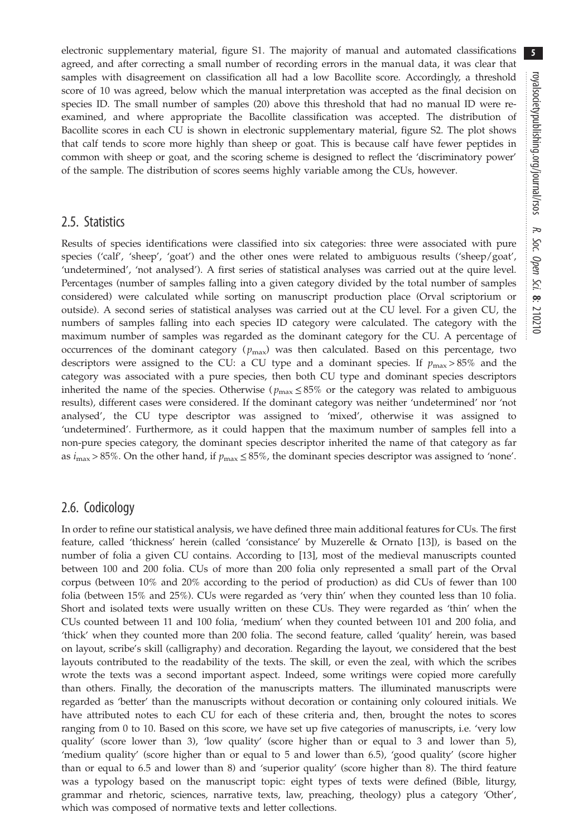electronic supplementary material, figure S1. The majority of manual and automated classifications agreed, and after correcting a small number of recording errors in the manual data, it was clear that samples with disagreement on classification all had a low Bacollite score. Accordingly, a threshold score of 10 was agreed, below which the manual interpretation was accepted as the final decision on species ID. The small number of samples (20) above this threshold that had no manual ID were reexamined, and where appropriate the Bacollite classification was accepted. The distribution of Bacollite scores in each CU is shown in electronic supplementary material, figure S2. The plot shows that calf tends to score more highly than sheep or goat. This is because calf have fewer peptides in common with sheep or goat, and the scoring scheme is designed to reflect the 'discriminatory power' of the sample. The distribution of scores seems highly variable among the CUs, however.

#### 2.5. Statistics

Results of species identifications were classified into six categories: three were associated with pure species ('calf', 'sheep', 'goat') and the other ones were related to ambiguous results ('sheep/goat', 'undetermined', 'not analysed'). A first series of statistical analyses was carried out at the quire level. Percentages (number of samples falling into a given category divided by the total number of samples considered) were calculated while sorting on manuscript production place (Orval scriptorium or outside). A second series of statistical analyses was carried out at the CU level. For a given CU, the numbers of samples falling into each species ID category were calculated. The category with the maximum number of samples was regarded as the dominant category for the CU. A percentage of occurrences of the dominant category ( $p_{\text{max}}$ ) was then calculated. Based on this percentage, two descriptors were assigned to the CU: a CU type and a dominant species. If  $p_{\text{max}} > 85\%$  and the category was associated with a pure species, then both CU type and dominant species descriptors inherited the name of the species. Otherwise ( $p_{\text{max}} \le 85\%$  or the category was related to ambiguous results), different cases were considered. If the dominant category was neither 'undetermined' nor 'not analysed', the CU type descriptor was assigned to 'mixed', otherwise it was assigned to 'undetermined'. Furthermore, as it could happen that the maximum number of samples fell into a non-pure species category, the dominant species descriptor inherited the name of that category as far as  $i_{\text{max}} > 85\%$ . On the other hand, if  $p_{\text{max}} \le 85\%$ , the dominant species descriptor was assigned to 'none'.

#### 2.6. Codicology

In order to refine our statistical analysis, we have defined three main additional features for CUs. The first feature, called 'thickness' herein (called 'consistance' by Muzerelle & Ornato [\[13](#page-13-0)]), is based on the number of folia a given CU contains. According to [[13\]](#page-13-0), most of the medieval manuscripts counted between 100 and 200 folia. CUs of more than 200 folia only represented a small part of the Orval corpus (between 10% and 20% according to the period of production) as did CUs of fewer than 100 folia (between 15% and 25%). CUs were regarded as 'very thin' when they counted less than 10 folia. Short and isolated texts were usually written on these CUs. They were regarded as 'thin' when the CUs counted between 11 and 100 folia, 'medium' when they counted between 101 and 200 folia, and 'thick' when they counted more than 200 folia. The second feature, called 'quality' herein, was based on layout, scribe's skill (calligraphy) and decoration. Regarding the layout, we considered that the best layouts contributed to the readability of the texts. The skill, or even the zeal, with which the scribes wrote the texts was a second important aspect. Indeed, some writings were copied more carefully than others. Finally, the decoration of the manuscripts matters. The illuminated manuscripts were regarded as 'better' than the manuscripts without decoration or containing only coloured initials. We have attributed notes to each CU for each of these criteria and, then, brought the notes to scores ranging from 0 to 10. Based on this score, we have set up five categories of manuscripts, i.e. 'very low quality' (score lower than 3), 'low quality' (score higher than or equal to 3 and lower than 5), 'medium quality' (score higher than or equal to 5 and lower than 6.5), 'good quality' (score higher than or equal to 6.5 and lower than 8) and 'superior quality' (score higher than 8). The third feature was a typology based on the manuscript topic: eight types of texts were defined (Bible, liturgy, grammar and rhetoric, sciences, narrative texts, law, preaching, theology) plus a category 'Other', which was composed of normative texts and letter collections.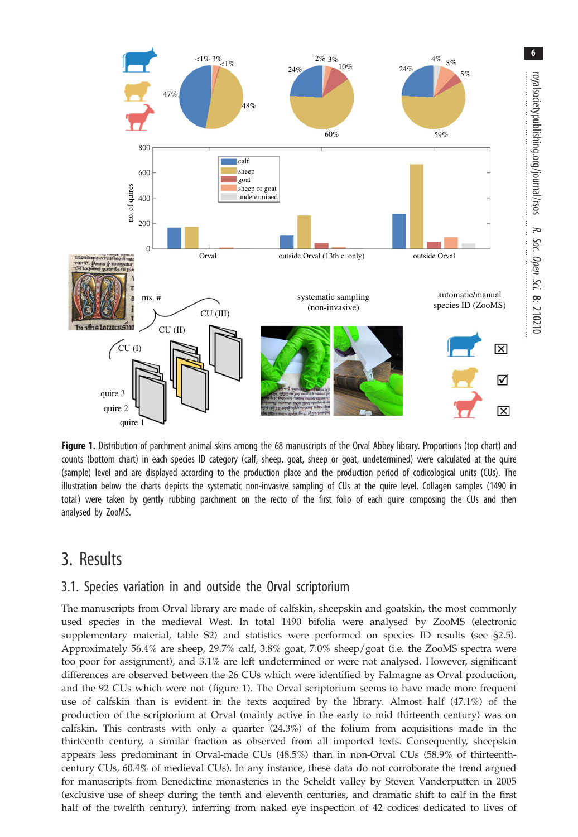

Figure 1. Distribution of parchment animal skins among the 68 manuscripts of the Orval Abbey library. Proportions (top chart) and counts (bottom chart) in each species ID category (calf, sheep, goat, sheep or goat, undetermined) were calculated at the quire (sample) level and are displayed according to the production place and the production period of codicological units (CUs). The illustration below the charts depicts the systematic non-invasive sampling of CUs at the quire level. Collagen samples (1490 in total) were taken by gently rubbing parchment on the recto of the first folio of each quire composing the CUs and then analysed by ZooMS.

## 3. Results

#### 3.1. Species variation in and outside the Orval scriptorium

47%

800

600

400

no. of quires

no. of quires

200

 $\overline{0}$ 

 $\bigg(CU(1)$ 

quire 3 quire 2 quire 1

1ftis locurus<sup>1</sup>

The manuscripts from Orval library are made of calfskin, sheepskin and goatskin, the most commonly used species in the medieval West. In total 1490 bifolia were analysed by ZooMS (electronic supplementary material, table S2) and statistics were performed on species ID results (see §2.5). Approximately 56.4% are sheep, 29.7% calf, 3.8% goat, 7.0% sheep/goat (i.e. the ZooMS spectra were too poor for assignment), and 3.1% are left undetermined or were not analysed. However, significant differences are observed between the 26 CUs which were identified by Falmagne as Orval production, and the 92 CUs which were not (figure 1). The Orval scriptorium seems to have made more frequent use of calfskin than is evident in the texts acquired by the library. Almost half (47.1%) of the production of the scriptorium at Orval (mainly active in the early to mid thirteenth century) was on calfskin. This contrasts with only a quarter (24.3%) of the folium from acquisitions made in the thirteenth century, a similar fraction as observed from all imported texts. Consequently, sheepskin appears less predominant in Orval-made CUs (48.5%) than in non-Orval CUs (58.9% of thirteenthcentury CUs, 60.4% of medieval CUs). In any instance, these data do not corroborate the trend argued for manuscripts from Benedictine monasteries in the Scheldt valley by Steven Vanderputten in 2005 (exclusive use of sheep during the tenth and eleventh centuries, and dramatic shift to calf in the first half of the twelfth century), inferring from naked eye inspection of 42 codices dedicated to lives of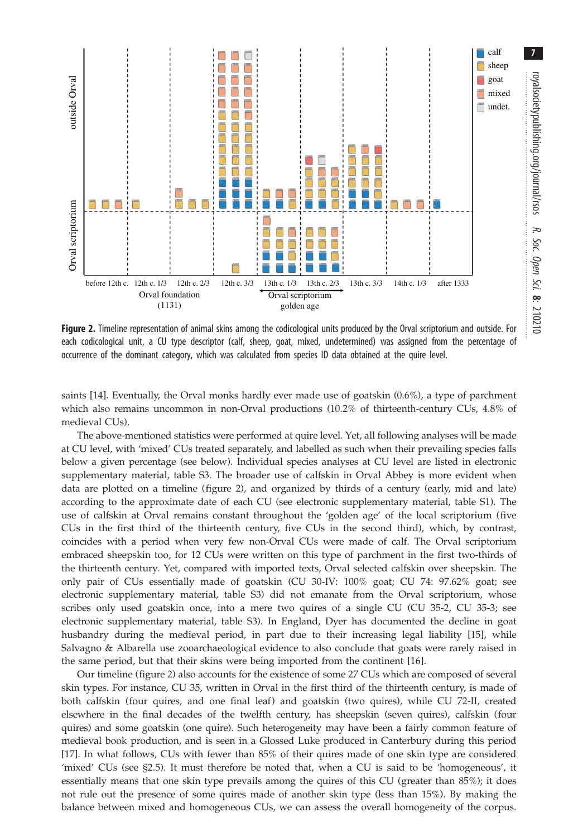

Figure 2. Timeline representation of animal skins among the codicological units produced by the Orval scriptorium and outside. For each codicological unit, a CU type descriptor (calf, sheep, goat, mixed, undetermined) was assigned from the percentage of occurrence of the dominant category, which was calculated from species ID data obtained at the quire level.

saints [\[14](#page-13-0)]. Eventually, the Orval monks hardly ever made use of goatskin (0.6%), a type of parchment which also remains uncommon in non-Orval productions (10.2% of thirteenth-century CUs, 4.8% of medieval CUs).

The above-mentioned statistics were performed at quire level. Yet, all following analyses will be made at CU level, with 'mixed' CUs treated separately, and labelled as such when their prevailing species falls below a given percentage (see below). Individual species analyses at CU level are listed in electronic supplementary material, table S3. The broader use of calfskin in Orval Abbey is more evident when data are plotted on a timeline (figure 2), and organized by thirds of a century (early, mid and late) according to the approximate date of each CU (see electronic supplementary material, table S1). The use of calfskin at Orval remains constant throughout the 'golden age' of the local scriptorium (five CUs in the first third of the thirteenth century, five CUs in the second third), which, by contrast, coincides with a period when very few non-Orval CUs were made of calf. The Orval scriptorium embraced sheepskin too, for 12 CUs were written on this type of parchment in the first two-thirds of the thirteenth century. Yet, compared with imported texts, Orval selected calfskin over sheepskin. The only pair of CUs essentially made of goatskin (CU 30-IV: 100% goat; CU 74: 97.62% goat; see electronic supplementary material, table S3) did not emanate from the Orval scriptorium, whose scribes only used goatskin once, into a mere two quires of a single CU (CU 35-2, CU 35-3; see electronic supplementary material, table S3). In England, Dyer has documented the decline in goat husbandry during the medieval period, in part due to their increasing legal liability [\[15](#page-13-0)], while Salvagno & Albarella use zooarchaeological evidence to also conclude that goats were rarely raised in the same period, but that their skins were being imported from the continent [[16\]](#page-13-0).

Our timeline (figure 2) also accounts for the existence of some 27 CUs which are composed of several skin types. For instance, CU 35, written in Orval in the first third of the thirteenth century, is made of both calfskin (four quires, and one final leaf) and goatskin (two quires), while CU 72-II, created elsewhere in the final decades of the twelfth century, has sheepskin (seven quires), calfskin (four quires) and some goatskin (one quire). Such heterogeneity may have been a fairly common feature of medieval book production, and is seen in a Glossed Luke produced in Canterbury during this period [\[17](#page-13-0)]. In what follows, CUs with fewer than 85% of their quires made of one skin type are considered 'mixed' CUs (see §2.5). It must therefore be noted that, when a CU is said to be 'homogeneous', it essentially means that one skin type prevails among the quires of this CU (greater than 85%); it does not rule out the presence of some quires made of another skin type (less than 15%). By making the balance between mixed and homogeneous CUs, we can assess the overall homogeneity of the corpus.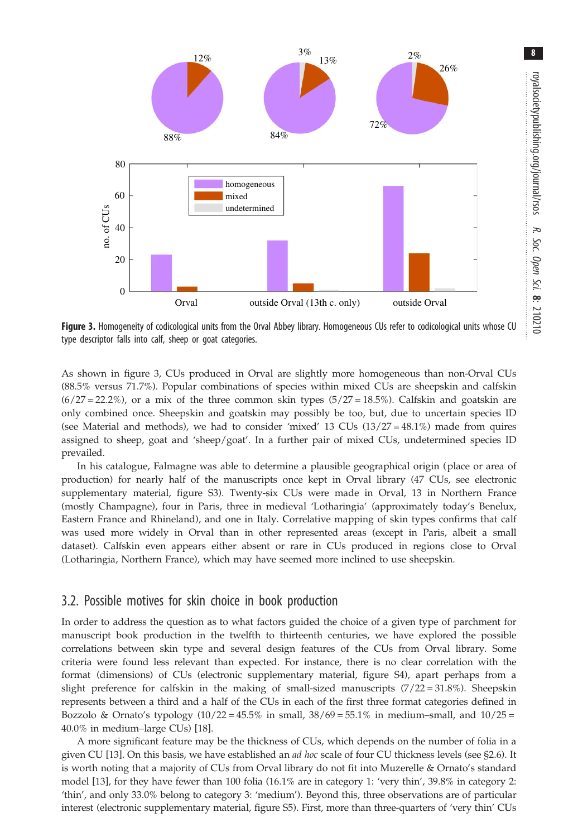

Figure 3. Homogeneity of codicological units from the Orval Abbey library. Homogeneous CUs refer to codicological units whose CU type descriptor falls into calf, sheep or goat categories.

As shown in figure 3, CUs produced in Orval are slightly more homogeneous than non-Orval CUs (88.5% versus 71.7%). Popular combinations of species within mixed CUs are sheepskin and calfskin  $(6/27 = 22.2%)$ , or a mix of the three common skin types  $(5/27 = 18.5%)$ . Calfskin and goatskin are only combined once. Sheepskin and goatskin may possibly be too, but, due to uncertain species ID (see Material and methods), we had to consider 'mixed' 13 CUs  $(13/27 = 48.1\%)$  made from quires assigned to sheep, goat and 'sheep/goat'. In a further pair of mixed CUs, undetermined species ID prevailed.

In his catalogue, Falmagne was able to determine a plausible geographical origin (place or area of production) for nearly half of the manuscripts once kept in Orval library (47 CUs, see electronic supplementary material, figure S3). Twenty-six CUs were made in Orval, 13 in Northern France (mostly Champagne), four in Paris, three in medieval 'Lotharingia' (approximately today's Benelux, Eastern France and Rhineland), and one in Italy. Correlative mapping of skin types confirms that calf was used more widely in Orval than in other represented areas (except in Paris, albeit a small dataset). Calfskin even appears either absent or rare in CUs produced in regions close to Orval (Lotharingia, Northern France), which may have seemed more inclined to use sheepskin.

#### 3.2. Possible motives for skin choice in book production

In order to address the question as to what factors guided the choice of a given type of parchment for manuscript book production in the twelfth to thirteenth centuries, we have explored the possible correlations between skin type and several design features of the CUs from Orval library. Some criteria were found less relevant than expected. For instance, there is no clear correlation with the format (dimensions) of CUs (electronic supplementary material, figure S4), apart perhaps from a slight preference for calfskin in the making of small-sized manuscripts  $(7/22 = 31.8\%)$ . Sheepskin represents between a third and a half of the CUs in each of the first three format categories defined in Bozzolo & Ornato's typology  $(10/22 = 45.5\%$  in small,  $38/69 = 55.1\%$  in medium–small, and  $10/25 =$ 40.0% in medium–large CUs) [[18\]](#page-13-0).

A more significant feature may be the thickness of CUs, which depends on the number of folia in a given CU [\[13](#page-13-0)]. On this basis, we have established an *ad hoc* scale of four CU thickness levels (see §2.6). It is worth noting that a majority of CUs from Orval library do not fit into Muzerelle & Ornato's standard model [\[13](#page-13-0)], for they have fewer than 100 folia (16.1% are in category 1: 'very thin', 39.8% in category 2: 'thin', and only 33.0% belong to category 3: 'medium'). Beyond this, three observations are of particular interest (electronic supplementary material, figure S5). First, more than three-quarters of 'very thin' CUs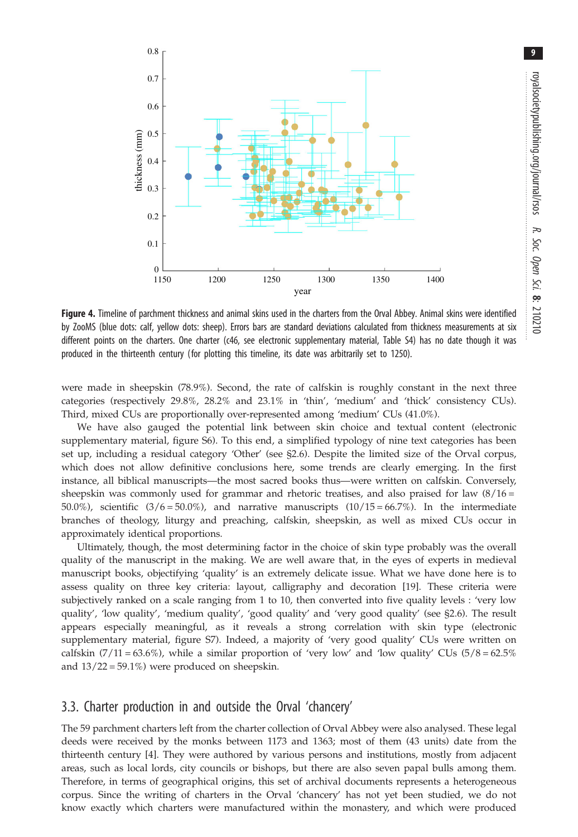<span id="page-8-0"></span>

Figure 4. Timeline of parchment thickness and animal skins used in the charters from the Orval Abbey. Animal skins were identified by ZooMS (blue dots: calf, yellow dots: sheep). Errors bars are standard deviations calculated from thickness measurements at six different points on the charters. One charter (c46, see electronic supplementary material, Table S4) has no date though it was produced in the thirteenth century (for plotting this timeline, its date was arbitrarily set to 1250).

were made in sheepskin (78.9%). Second, the rate of calfskin is roughly constant in the next three categories (respectively 29.8%, 28.2% and 23.1% in 'thin', 'medium' and 'thick' consistency CUs). Third, mixed CUs are proportionally over-represented among 'medium' CUs (41.0%).

We have also gauged the potential link between skin choice and textual content (electronic supplementary material, figure S6). To this end, a simplified typology of nine text categories has been set up, including a residual category 'Other' (see §2.6). Despite the limited size of the Orval corpus, which does not allow definitive conclusions here, some trends are clearly emerging. In the first instance, all biblical manuscripts—the most sacred books thus—were written on calfskin. Conversely, sheepskin was commonly used for grammar and rhetoric treatises, and also praised for law  $(8/16 =$ 50.0%), scientific  $(3/6 = 50.0\%)$ , and narrative manuscripts  $(10/15 = 66.7\%)$ . In the intermediate branches of theology, liturgy and preaching, calfskin, sheepskin, as well as mixed CUs occur in approximately identical proportions.

Ultimately, though, the most determining factor in the choice of skin type probably was the overall quality of the manuscript in the making. We are well aware that, in the eyes of experts in medieval manuscript books, objectifying 'quality' is an extremely delicate issue. What we have done here is to assess quality on three key criteria: layout, calligraphy and decoration [\[19](#page-13-0)]. These criteria were subjectively ranked on a scale ranging from 1 to 10, then converted into five quality levels : 'very low quality', 'low quality', 'medium quality', 'good quality' and 'very good quality' (see §2.6). The result appears especially meaningful, as it reveals a strong correlation with skin type (electronic supplementary material, figure S7). Indeed, a majority of 'very good quality' CUs were written on calfskin  $(7/11 = 63.6\%)$ , while a similar proportion of 'very low' and 'low quality' CUs  $(5/8 = 62.5\%)$ and 13/22 = 59.1%) were produced on sheepskin.

#### 3.3. Charter production in and outside the Orval 'chancery'

The 59 parchment charters left from the charter collection of Orval Abbey were also analysed. These legal deeds were received by the monks between 1173 and 1363; most of them (43 units) date from the thirteenth century [\[4\]](#page-12-0). They were authored by various persons and institutions, mostly from adjacent areas, such as local lords, city councils or bishops, but there are also seven papal bulls among them. Therefore, in terms of geographical origins, this set of archival documents represents a heterogeneous corpus. Since the writing of charters in the Orval 'chancery' has not yet been studied, we do not know exactly which charters were manufactured within the monastery, and which were produced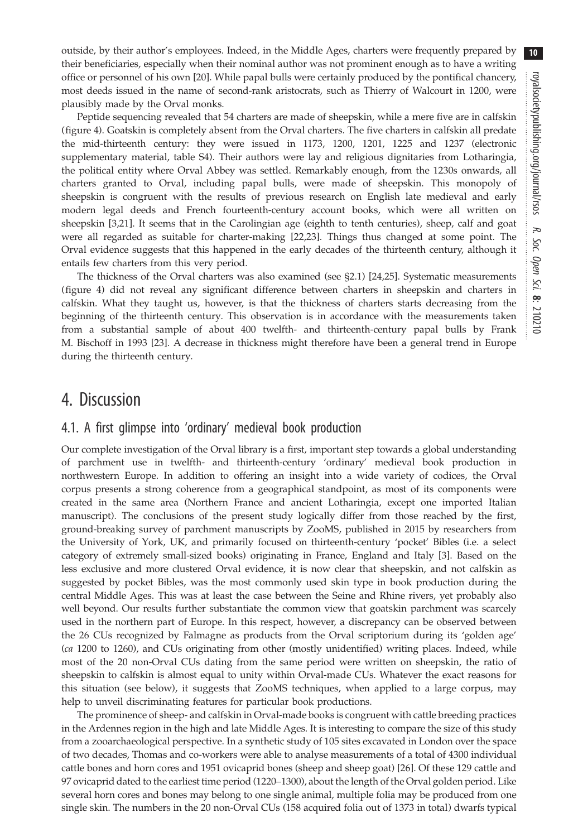outside, by their author's employees. Indeed, in the Middle Ages, charters were frequently prepared by their beneficiaries, especially when their nominal author was not prominent enough as to have a writing office or personnel of his own [\[20](#page-13-0)]. While papal bulls were certainly produced by the pontifical chancery, most deeds issued in the name of second-rank aristocrats, such as Thierry of Walcourt in 1200, were plausibly made by the Orval monks.

Peptide sequencing revealed that 54 charters are made of sheepskin, while a mere five are in calfskin [\(figure 4](#page-8-0)). Goatskin is completely absent from the Orval charters. The five charters in calfskin all predate the mid-thirteenth century: they were issued in 1173, 1200, 1201, 1225 and 1237 (electronic supplementary material, table S4). Their authors were lay and religious dignitaries from Lotharingia, the political entity where Orval Abbey was settled. Remarkably enough, from the 1230s onwards, all charters granted to Orval, including papal bulls, were made of sheepskin. This monopoly of sheepskin is congruent with the results of previous research on English late medieval and early modern legal deeds and French fourteenth-century account books, which were all written on sheepskin [[3](#page-12-0),[21\]](#page-13-0). It seems that in the Carolingian age (eighth to tenth centuries), sheep, calf and goat were all regarded as suitable for charter-making [[22,23\]](#page-13-0). Things thus changed at some point. The Orval evidence suggests that this happened in the early decades of the thirteenth century, although it entails few charters from this very period.

The thickness of the Orval charters was also examined (see §2.1) [\[24,25](#page-13-0)]. Systematic measurements [\(figure 4\)](#page-8-0) did not reveal any significant difference between charters in sheepskin and charters in calfskin. What they taught us, however, is that the thickness of charters starts decreasing from the beginning of the thirteenth century. This observation is in accordance with the measurements taken from a substantial sample of about 400 twelfth- and thirteenth-century papal bulls by Frank M. Bischoff in 1993 [\[23](#page-13-0)]. A decrease in thickness might therefore have been a general trend in Europe during the thirteenth century.

## 4. Discussion

#### 4.1. A first glimpse into 'ordinary' medieval book production

Our complete investigation of the Orval library is a first, important step towards a global understanding of parchment use in twelfth- and thirteenth-century 'ordinary' medieval book production in northwestern Europe. In addition to offering an insight into a wide variety of codices, the Orval corpus presents a strong coherence from a geographical standpoint, as most of its components were created in the same area (Northern France and ancient Lotharingia, except one imported Italian manuscript). The conclusions of the present study logically differ from those reached by the first, ground-breaking survey of parchment manuscripts by ZooMS, published in 2015 by researchers from the University of York, UK, and primarily focused on thirteenth-century 'pocket' Bibles (i.e. a select category of extremely small-sized books) originating in France, England and Italy [\[3\]](#page-12-0). Based on the less exclusive and more clustered Orval evidence, it is now clear that sheepskin, and not calfskin as suggested by pocket Bibles, was the most commonly used skin type in book production during the central Middle Ages. This was at least the case between the Seine and Rhine rivers, yet probably also well beyond. Our results further substantiate the common view that goatskin parchment was scarcely used in the northern part of Europe. In this respect, however, a discrepancy can be observed between the 26 CUs recognized by Falmagne as products from the Orval scriptorium during its 'golden age' (ca 1200 to 1260), and CUs originating from other (mostly unidentified) writing places. Indeed, while most of the 20 non-Orval CUs dating from the same period were written on sheepskin, the ratio of sheepskin to calfskin is almost equal to unity within Orval-made CUs. Whatever the exact reasons for this situation (see below), it suggests that ZooMS techniques, when applied to a large corpus, may help to unveil discriminating features for particular book productions.

The prominence of sheep- and calfskin in Orval-made books is congruent with cattle breeding practices in the Ardennes region in the high and late Middle Ages. It is interesting to compare the size of this study from a zooarchaeological perspective. In a synthetic study of 105 sites excavated in London over the space of two decades, Thomas and co-workers were able to analyse measurements of a total of 4300 individual cattle bones and horn cores and 1951 ovicaprid bones (sheep and sheep goat) [[26\]](#page-13-0). Of these 129 cattle and 97 ovicaprid dated to the earliest time period (1220–1300), about the length of the Orval golden period. Like several horn cores and bones may belong to one single animal, multiple folia may be produced from one single skin. The numbers in the 20 non-Orval CUs (158 acquired folia out of 1373 in total) dwarfs typical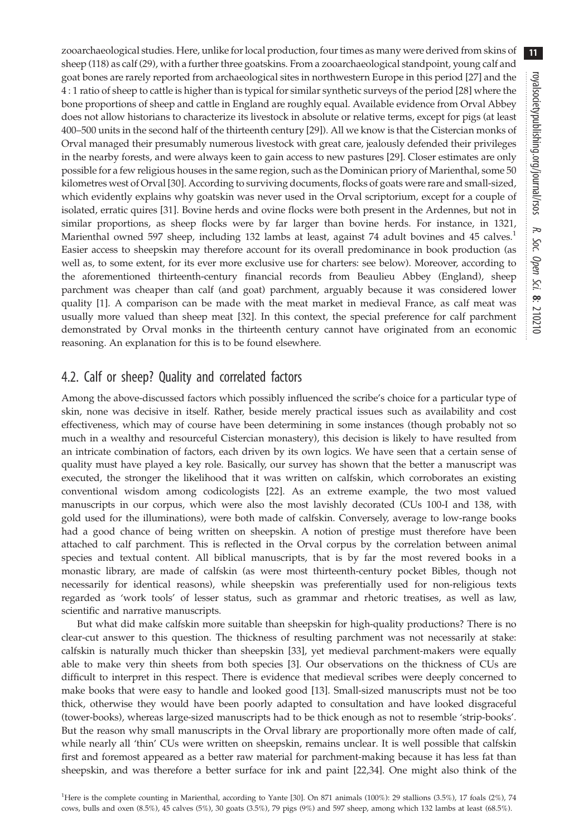zooarchaeological studies. Here, unlike for local production, four times as many were derived from skins of sheep (118) as calf (29), with a further three goatskins. From a zooarchaeological standpoint, young calf and goat bones are rarely reported from archaeological sites in northwestern Europe in this period [\[27](#page-13-0)] and the 4 : 1 ratio of sheep to cattle is higher than is typical for similar synthetic surveys of the period [\[28](#page-13-0)] where the bone proportions of sheep and cattle in England are roughly equal. Available evidence from Orval Abbey does not allow historians to characterize its livestock in absolute or relative terms, except for pigs (at least 400–500 units in the second half of the thirteenth century [[29\]](#page-13-0)). All we know is that the Cistercian monks of Orval managed their presumably numerous livestock with great care, jealously defended their privileges in the nearby forests, and were always keen to gain access to new pastures [\[29](#page-13-0)]. Closer estimates are only possible for a few religious houses in the same region, such as the Dominican priory of Marienthal, some 50 kilometres west of Orval [\[30](#page-13-0)]. According to surviving documents, flocks of goats were rare and small-sized, which evidently explains why goatskin was never used in the Orval scriptorium, except for a couple of isolated, erratic quires [[31\]](#page-13-0). Bovine herds and ovine flocks were both present in the Ardennes, but not in similar proportions, as sheep flocks were by far larger than bovine herds. For instance, in 1321, Marienthal owned 597 sheep, including 132 lambs at least, against 74 adult bovines and 45 calves.<sup>1</sup> Easier access to sheepskin may therefore account for its overall predominance in book production (as well as, to some extent, for its ever more exclusive use for charters: see below). Moreover, according to the aforementioned thirteenth-century financial records from Beaulieu Abbey (England), sheep parchment was cheaper than calf (and goat) parchment, arguably because it was considered lower quality [\[1\]](#page-12-0). A comparison can be made with the meat market in medieval France, as calf meat was usually more valued than sheep meat [[32\]](#page-13-0). In this context, the special preference for calf parchment demonstrated by Orval monks in the thirteenth century cannot have originated from an economic reasoning. An explanation for this is to be found elsewhere.

#### 4.2. Calf or sheep? Quality and correlated factors

Among the above-discussed factors which possibly influenced the scribe's choice for a particular type of skin, none was decisive in itself. Rather, beside merely practical issues such as availability and cost effectiveness, which may of course have been determining in some instances (though probably not so much in a wealthy and resourceful Cistercian monastery), this decision is likely to have resulted from an intricate combination of factors, each driven by its own logics. We have seen that a certain sense of quality must have played a key role. Basically, our survey has shown that the better a manuscript was executed, the stronger the likelihood that it was written on calfskin, which corroborates an existing conventional wisdom among codicologists [\[22](#page-13-0)]. As an extreme example, the two most valued manuscripts in our corpus, which were also the most lavishly decorated (CUs 100-I and 138, with gold used for the illuminations), were both made of calfskin. Conversely, average to low-range books had a good chance of being written on sheepskin. A notion of prestige must therefore have been attached to calf parchment. This is reflected in the Orval corpus by the correlation between animal species and textual content. All biblical manuscripts, that is by far the most revered books in a monastic library, are made of calfskin (as were most thirteenth-century pocket Bibles, though not necessarily for identical reasons), while sheepskin was preferentially used for non-religious texts regarded as 'work tools' of lesser status, such as grammar and rhetoric treatises, as well as law, scientific and narrative manuscripts.

But what did make calfskin more suitable than sheepskin for high-quality productions? There is no clear-cut answer to this question. The thickness of resulting parchment was not necessarily at stake: calfskin is naturally much thicker than sheepskin [\[33](#page-13-0)], yet medieval parchment-makers were equally able to make very thin sheets from both species [[3](#page-12-0)]. Our observations on the thickness of CUs are difficult to interpret in this respect. There is evidence that medieval scribes were deeply concerned to make books that were easy to handle and looked good [\[13](#page-13-0)]. Small-sized manuscripts must not be too thick, otherwise they would have been poorly adapted to consultation and have looked disgraceful (tower-books), whereas large-sized manuscripts had to be thick enough as not to resemble 'strip-books'. But the reason why small manuscripts in the Orval library are proportionally more often made of calf, while nearly all 'thin' CUs were written on sheepskin, remains unclear. It is well possible that calfskin first and foremost appeared as a better raw material for parchment-making because it has less fat than sheepskin, and was therefore a better surface for ink and paint [\[22,34](#page-13-0)]. One might also think of the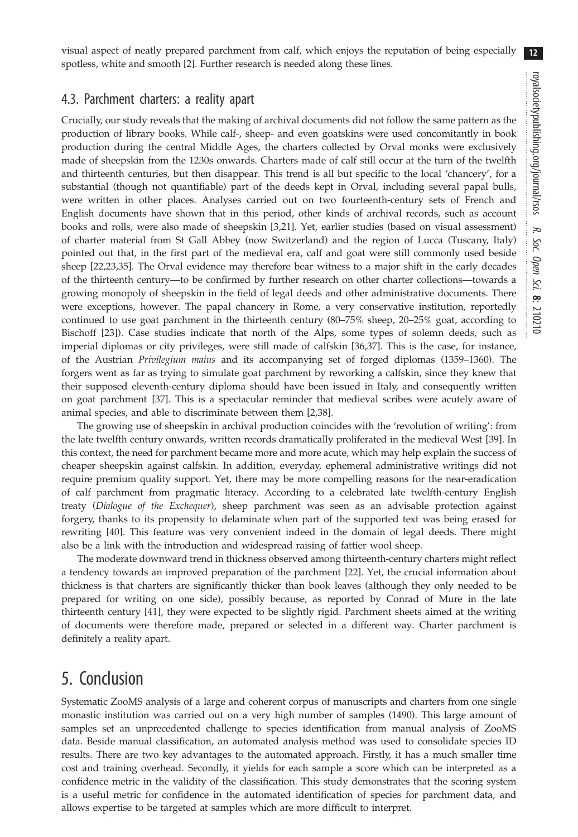visual aspect of neatly prepared parchment from calf, which enjoys the reputation of being especially spotless, white and smooth [[2](#page-12-0)]. Further research is needed along these lines.  $12$ 

#### 4.3. Parchment charters: a reality apart

Crucially, our study reveals that the making of archival documents did not follow the same pattern as the production of library books. While calf-, sheep- and even goatskins were used concomitantly in book production during the central Middle Ages, the charters collected by Orval monks were exclusively made of sheepskin from the 1230s onwards. Charters made of calf still occur at the turn of the twelfth and thirteenth centuries, but then disappear. This trend is all but specific to the local 'chancery', for a substantial (though not quantifiable) part of the deeds kept in Orval, including several papal bulls, were written in other places. Analyses carried out on two fourteenth-century sets of French and English documents have shown that in this period, other kinds of archival records, such as account books and rolls, were also made of sheepskin [\[3,](#page-12-0)[21](#page-13-0)]. Yet, earlier studies (based on visual assessment) of charter material from St Gall Abbey (now Switzerland) and the region of Lucca (Tuscany, Italy) pointed out that, in the first part of the medieval era, calf and goat were still commonly used beside sheep [\[22](#page-13-0),[23,35\]](#page-13-0). The Orval evidence may therefore bear witness to a major shift in the early decades of the thirteenth century—to be confirmed by further research on other charter collections—towards a growing monopoly of sheepskin in the field of legal deeds and other administrative documents. There were exceptions, however. The papal chancery in Rome, a very conservative institution, reportedly continued to use goat parchment in the thirteenth century (80–75% sheep, 20–25% goat, according to Bischoff [\[23](#page-13-0)]). Case studies indicate that north of the Alps, some types of solemn deeds, such as imperial diplomas or city privileges, were still made of calfskin [\[36](#page-13-0),[37\]](#page-13-0). This is the case, for instance, of the Austrian Privilegium maius and its accompanying set of forged diplomas (1359–1360). The forgers went as far as trying to simulate goat parchment by reworking a calfskin, since they knew that their supposed eleventh-century diploma should have been issued in Italy, and consequently written on goat parchment [\[37](#page-13-0)]. This is a spectacular reminder that medieval scribes were acutely aware of animal species, and able to discriminate between them [\[2,](#page-12-0)[38\]](#page-13-0).

The growing use of sheepskin in archival production coincides with the 'revolution of writing': from the late twelfth century onwards, written records dramatically proliferated in the medieval West [[39\]](#page-13-0). In this context, the need for parchment became more and more acute, which may help explain the success of cheaper sheepskin against calfskin. In addition, everyday, ephemeral administrative writings did not require premium quality support. Yet, there may be more compelling reasons for the near-eradication of calf parchment from pragmatic literacy. According to a celebrated late twelfth-century English treaty (Dialogue of the Exchequer), sheep parchment was seen as an advisable protection against forgery, thanks to its propensity to delaminate when part of the supported text was being erased for rewriting [[40\]](#page-13-0). This feature was very convenient indeed in the domain of legal deeds. There might also be a link with the introduction and widespread raising of fattier wool sheep.

The moderate downward trend in thickness observed among thirteenth-century charters might reflect a tendency towards an improved preparation of the parchment [\[22](#page-13-0)]. Yet, the crucial information about thickness is that charters are significantly thicker than book leaves (although they only needed to be prepared for writing on one side), possibly because, as reported by Conrad of Mure in the late thirteenth century [\[41](#page-13-0)], they were expected to be slightly rigid. Parchment sheets aimed at the writing of documents were therefore made, prepared or selected in a different way. Charter parchment is definitely a reality apart.

## 5. Conclusion

Systematic ZooMS analysis of a large and coherent corpus of manuscripts and charters from one single monastic institution was carried out on a very high number of samples (1490). This large amount of samples set an unprecedented challenge to species identification from manual analysis of ZooMS data. Beside manual classification, an automated analysis method was used to consolidate species ID results. There are two key advantages to the automated approach. Firstly, it has a much smaller time cost and training overhead. Secondly, it yields for each sample a score which can be interpreted as a confidence metric in the validity of the classification. This study demonstrates that the scoring system is a useful metric for confidence in the automated identification of species for parchment data, and allows expertise to be targeted at samples which are more difficult to interpret.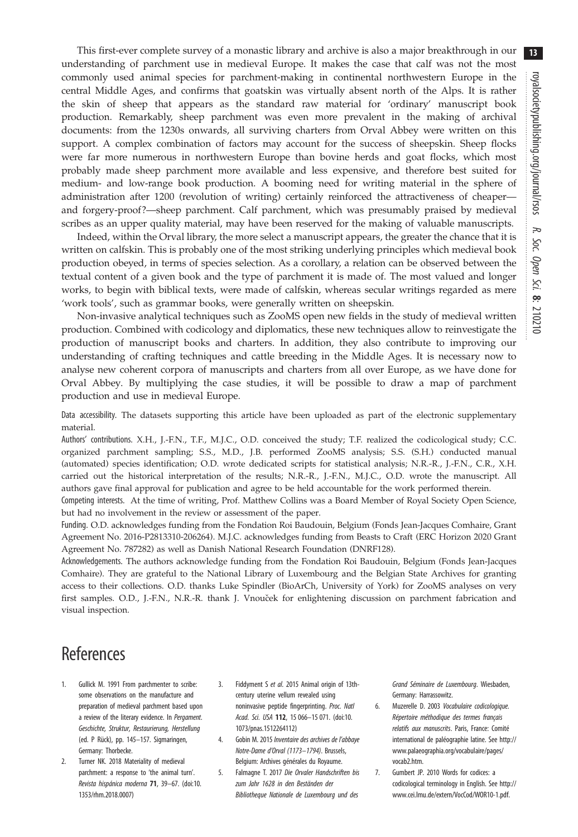<span id="page-12-0"></span>This first-ever complete survey of a monastic library and archive is also a major breakthrough in our understanding of parchment use in medieval Europe. It makes the case that calf was not the most commonly used animal species for parchment-making in continental northwestern Europe in the central Middle Ages, and confirms that goatskin was virtually absent north of the Alps. It is rather the skin of sheep that appears as the standard raw material for 'ordinary' manuscript book production. Remarkably, sheep parchment was even more prevalent in the making of archival documents: from the 1230s onwards, all surviving charters from Orval Abbey were written on this support. A complex combination of factors may account for the success of sheepskin. Sheep flocks were far more numerous in northwestern Europe than bovine herds and goat flocks, which most probably made sheep parchment more available and less expensive, and therefore best suited for medium- and low-range book production. A booming need for writing material in the sphere of administration after 1200 (revolution of writing) certainly reinforced the attractiveness of cheaperand forgery-proof?—sheep parchment. Calf parchment, which was presumably praised by medieval scribes as an upper quality material, may have been reserved for the making of valuable manuscripts.

Indeed, within the Orval library, the more select a manuscript appears, the greater the chance that it is written on calfskin. This is probably one of the most striking underlying principles which medieval book production obeyed, in terms of species selection. As a corollary, a relation can be observed between the textual content of a given book and the type of parchment it is made of. The most valued and longer works, to begin with biblical texts, were made of calfskin, whereas secular writings regarded as mere 'work tools', such as grammar books, were generally written on sheepskin.

Non-invasive analytical techniques such as ZooMS open new fields in the study of medieval written production. Combined with codicology and diplomatics, these new techniques allow to reinvestigate the production of manuscript books and charters. In addition, they also contribute to improving our understanding of crafting techniques and cattle breeding in the Middle Ages. It is necessary now to analyse new coherent corpora of manuscripts and charters from all over Europe, as we have done for Orval Abbey. By multiplying the case studies, it will be possible to draw a map of parchment production and use in medieval Europe.

Data accessibility. The datasets supporting this article have been uploaded as part of the electronic supplementary material.

Authors' contributions. X.H., J.-F.N., T.F., M.J.C., O.D. conceived the study; T.F. realized the codicological study; C.C. organized parchment sampling; S.S., M.D., J.B. performed ZooMS analysis; S.S. (S.H.) conducted manual (automated) species identification; O.D. wrote dedicated scripts for statistical analysis; N.R.-R., J.-F.N., C.R., X.H. carried out the historical interpretation of the results; N.R.-R., J.-F.N., M.J.C., O.D. wrote the manuscript. All authors gave final approval for publication and agree to be held accountable for the work performed therein.

Competing interests. At the time of writing, Prof. Matthew Collins was a Board Member of Royal Society Open Science, but had no involvement in the review or assessment of the paper.

Funding. O.D. acknowledges funding from the Fondation Roi Baudouin, Belgium (Fonds Jean-Jacques Comhaire, Grant Agreement No. 2016-P2813310-206264). M.J.C. acknowledges funding from Beasts to Craft (ERC Horizon 2020 Grant Agreement No. 787282) as well as Danish National Research Foundation (DNRF128).

Acknowledgements. The authors acknowledge funding from the Fondation Roi Baudouin, Belgium (Fonds Jean-Jacques Comhaire). They are grateful to the National Library of Luxembourg and the Belgian State Archives for granting access to their collections. O.D. thanks Luke Spindler (BioArCh, University of York) for ZooMS analyses on very first samples. O.D., J.-F.N., N.R.-R. thank J. Vnouček for enlightening discussion on parchment fabrication and visual inspection.

## References

- 1. Gullick M. 1991 From parchmenter to scribe: some observations on the manufacture and preparation of medieval parchment based upon a review of the literary evidence. In Pergament. Geschichte, Struktur, Restaurierung, Herstellung (ed. P Rück), pp. 145–157. Sigmaringen, Germany: Thorbecke.
- 2. Turner NK. 2018 Materiality of medieval parchment: a response to 'the animal turn'. Revista hispánica moderna 71, 39–67. [\(doi:10.](http://dx.doi.org/10.1353/rhm.2018.0007) [1353/rhm.2018.0007](http://dx.doi.org/10.1353/rhm.2018.0007))
- 3. Fiddyment S et al. 2015 Animal origin of 13thcentury uterine vellum revealed using noninvasive peptide fingerprinting. Proc. Natl Acad. Sci. USA 112, 15 066–15 071. ([doi:10.](http://dx.doi.org/10.1073/pnas.1512264112) [1073/pnas.1512264112](http://dx.doi.org/10.1073/pnas.1512264112))
- 4. Gobin M. 2015 Inventaire des archives de l'abbaye Notre-Dame d'Orval (1173–1794). Brussels, Belgium: Archives générales du Royaume.
- 5. Falmagne T. 2017 Die Orvaler Handschriften bis zum Jahr 1628 in den Beständen der Bibliotheque Nationale de Luxembourg und des

Grand Séminaire de Luxembourg. Wiesbaden, Germany: Harrassowitz.

- 6. Muzerelle D. 2003 Vocabulaire codicologique. Répertoire méthodique des termes français relatifs aux manuscrits. Paris, France: Comité international de paléographie latine. See [http://](http://www.palaeographia.org/vocabulaire/pages/vocab2.htm) [www.palaeographia.org/vocabulaire/pages/](http://www.palaeographia.org/vocabulaire/pages/vocab2.htm) [vocab2.htm](http://www.palaeographia.org/vocabulaire/pages/vocab2.htm).
- 7. Gumbert JP. 2010 Words for codices: a codicological terminology in English. See [http://](http://www.cei.lmu.de/extern/VocCod/WOR10-1.pdf) [www.cei.lmu.de/extern/VocCod/WOR10-1.pdf](http://www.cei.lmu.de/extern/VocCod/WOR10-1.pdf).